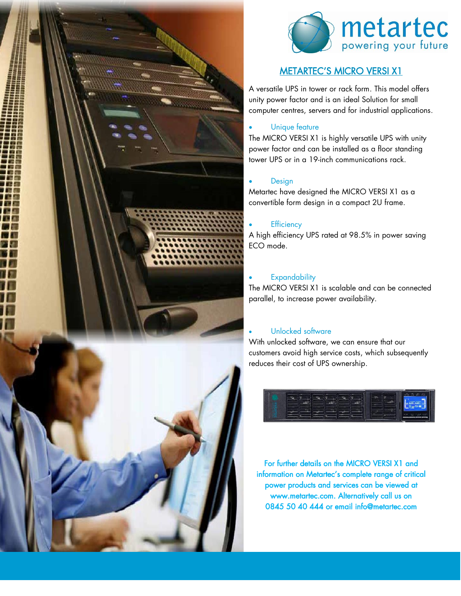



# METARTEC'S MICRO VERSI X1

A versatile UPS in tower or rack form. This model offers unity power factor and is an ideal Solution for small computer centres, servers and for industrial applications.

### Unique feature

The MICRO VERSI X1 is highly versatile UPS with unity power factor and can be installed as a floor standing tower UPS or in a 19-inch communications rack.

#### **Design**

Metartec have designed the MICRO VERSI X1 as a convertible form design in a compact 2U frame.

#### **Efficiency**

A high efficiency UPS rated at 98.5% in power saving ECO mode.

#### **Expandability**

The MICRO VERSI X1 is scalable and can be connected parallel, to increase power availability.

## Unlocked software

With unlocked software, we can ensure that our customers avoid high service costs, which subsequently reduces their cost of UPS ownership.



For further details on the MICRO VERSI X1 and information on Metartec's complete range of critical power products and services can be viewed at www.metartec.com. Alternatively call us on 0845 50 40 444 or email info@metartec.com